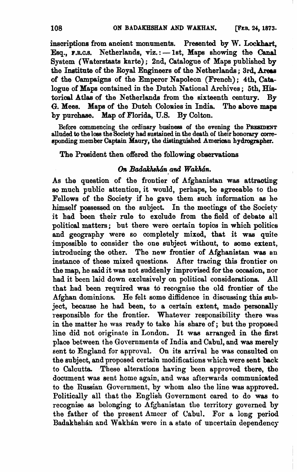inscriptions from ancient monuments. Preeented by W. **Lockhart,**  Esq., F.R.C.S. Netherlands, viz. : - lst, Maps showing the **Canal**  Esq., F.R.C.S. Netherlands, viz.: --1st, Maps showing the Canal<br>System (Waterstaats karte); 2nd, Catalogue of Maps published by<br>the Institute of the Royal Engineers of the Netherlands; 3rd, Areas<br>of the Campaigns of the Em the Institute of the Royal Engineers of the Netherlands; 3rd, Areas of the Campaigns of the Emperor Napoleon (French); 4th, Catalogue of Naps contained in the Dutch National Archives ; 5th, **Hie**torical Atlas of the Netherlands from the sixteenth century. G. Mees. Maps of the Dutch Colonies in India. The above maps by purchase. Map of Florida, **U.S.** By Colton.

Before commencing the ordinary business of the evening the PRESIDENT alluded to the loss the Society had sustained in the death of their honorary corresponding member Captain Maury, the distinguished American hydrographer.

The President then offered the following observations

## $On$  *Badakhshán and Wakhán.*

As the question of the frontier of Afghanistan **was** attracting so much public attention, it would, perhaps, be agreeable to tho Fellows of the Society if he gave them such information as he himself possessed on the subject. In the meetings of the Society it had been their rule to exclude from the field of debate all political matters; but there were certain topios in which politics and geography were so completely mixed, that it was quite impossible to consider the one subject without, to some extent, introducing the other. The new frontier of Afghanistan **was** an instance of these mixed questions. After tracing this frontier on the map, he said it **waa** not suddenly improvised for the occasion, nor had it been laid down exclusively on political considerations. A11 that had been required was **to** recognise the old frontier of tho Afghan dominions. He felt some diffidence in discussing this subject, because he had been, to a certain extent, made **personally**  responsible for the frontier. Whatever responsibility there wae in the matter he was ready to take his share of; but the proposed line did not originate in London. It was arranged in the first place between the Governments of India and Cabul, and was merely sent to England for approval. On its arrival he was consulted on the subject, and proposed certain modifications which were sent **back**  to Calcutta. These alterations having been approved there, tho document was sent home again, and was afterwards communicated to the Russian Government, by whom also the line was approved. Politically all that the English Governmcnt **cared** to do **was** to recognise as belonging to Afghanistan the territory governed by the father of the present Amccr of Cabul. For a long period Badakhshán and Wakhán were in a state of uncertain dependency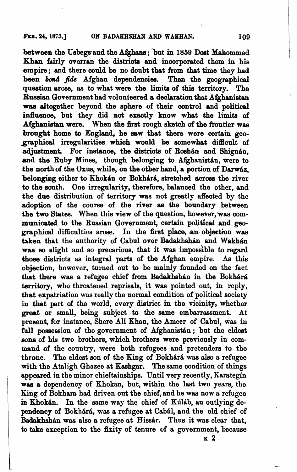between the Usbegs and the Afghans; but in 1859 Dost Mahommed Khan fairly overran the districts and incorporated them in his empire; and there could be no doubt that from that time they had been *bowa fide* Afghan dependencies. Then the geographical question **arose, aa** to what were **the** limita of this territory. The Russian Government had volunteered a declaration that Afghanistan **waa** altogether beyond the sphere of their control and political influence, **but** they did not exactly know what the limita of Afghanistan were. When the first rough sketch of the frontier was brought home to England, he saw that there were certain geographical irregularities which would be somewhat difficult of adjustment. For instance, the districts of Roshán and Shignán, and the Ruby Mines, though belonging to Afghanistán, were to the north of the Oxus, while, on the other hand, a portion of Darwaz, belonging either to Khokán or Bokhárá, stretched across the river to the eouth. One irregularity, therefore, balanced the other, and the due distribution of territory was not greatly affected by the adoption of the coume of the river **aa** the bounddry between the two **States.** When this view of the question, however, **was** communicated to the Russian Government, certain political and geographical difficulties arose. In the first place, an objection was taken that the authority of Cabul over Badakhshan and Wakhan was so slight and so precarious, that it was impossible to regard **those districts as** integral parts of the Afghan empire. *Bs* this objection, howovcr, turned out to be mainly founded on the fact that there was a refugee chief from Badakhshan in the Bokhara **temtory,** who thrcatened reprisals, it **waa** pointed out, in reply, that expatriation **was** really the normal condition of political society in that pert of the world, every district in the vicinity, whether great or small, being subject to the same embarrassment. At present, for instance, Shore Ali Khan, the Ameer of Cabul, was in full possession of the government of Afghanistán; but the eldest **eons** of his two brothers, which brothers were previously in command of the country, were both refugees and pretenders to the throne. The eldost son of the King of Bokhara was also a refugee with the Ataligh Ghazee at Kashgar. The same condition of things appeared in the minor chieftainships. Until very recently, Karategin **was** a dependency of Khokan, but, within the last two years, tho King of Bokhara had driven out the chief, and he was now a refugee in Khokán. In the same way the chief of Kulab, an outlying dependency of Bokhárá, was a refugee at Cabúl, and the old chief of Badakhshan was also a refugee at Hissar. Thus it was clear that, to take exception to the fixity of tenure of a government, bocause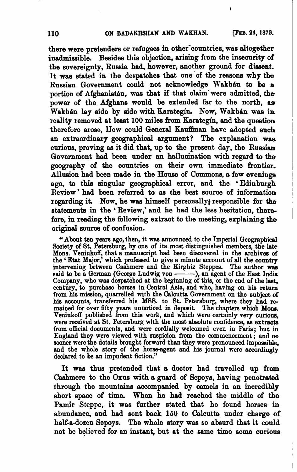there were pretenders or refugees in other countries, was altogether inedmiseible. Besides **this** objection, arising from the inseaurity of the sovereignty, Russia had, however, another ground for dissent. It was stated in the despatches that one of the reasons why the Russian Government could not acknowledge Wakhan to be a portion of Afghanistán, was that if that claim were admitted, the power of the Afghans would be extended far to the north, as Wakhein lay side by side with Karategin. Now, Wakh&n **was** in reality removed at least 100 miles from Karategin, and the question therefore arose, How could Qeneral Kauffman have adopted sncb an extraordinary geographical argument ? The explanation **was**  curious, proving as it did that, up to the present day, the Russian Government had been under an hallucination with regard to the geography of the countries on their own immediate frontier, Allusion had been made in the House of Commons, a few evenings ago, to this singular geographical error, and the 'Edinburgh Review' had been referred to **as** the best source of information regarding it. Now, he was himself personally? responsible for the statements in the ' Review,' and he had the leas hesitation, therefore, in reading the following extract to the meeting, explaining the original souroe of confusion.

<sup>4</sup> About ten years ago, then, it was announced to the Imperial Geographical Society of St. Petersburg, by one of its most distinguished members, the late Mons. Veniukoff, that a manuscript had been discovered in the archives of Mons. Veniukoff, that a manuscript had been discovered in the archives of the 'Etat Major,' which professed to give a minute account of all the country intervening between Cashmere and the Kirghiz Steppes. The author was century, to purchase horses in Central Asia, and who, having on his return from his mission, quarrelled with the Calcutta Government on the subject of his accounts, transferred his MSS. to St. Petersburg, where they had recentury, to purchase horses in Central Asia, and who, having on his return<br>from his mission, quarrelled with the Calcutta Government on the subject of<br>his accounts, transferred his MSS. to St. Petersburg, where they had re were received at St. Petersburg with the most absolute confidence, as extracts from official documents, and were codially welcomed even in Paris; but in England they were viewed with suspicion from the commencement; and no sooner were the details brought forward than they were pronounced impossible, and the whole story of the horse-agent and his journal were accordingly declared to be an impudent fiction.''

It was thus pretended that a doctor had travelled up from Cashmere to the Oxus with a guard of Sepoys, having penetrated through the mountains accompanied by camels in an incredibly short space of time. When he had reached the middle of the Pamir Steppe, it was further stated that he found horses in abundance, and had sent back 150 to Calcutta under charge of half-a-dozen Sepoys. The whole story was so absurd that it could not be believed for an instant, but at the same time some curious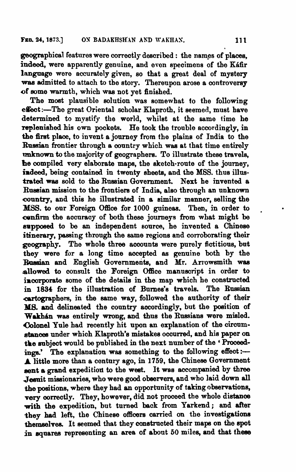geographical features were correctly described : the names of plaoes, indeed, were apparently genuine, and even specimens of the Káfir language were accurately given, so that a great deal of mystery **was** admitted to attach to the story. Thereupon arose a controversy of some warmth, which waa not yet finished.

The most plausible solution was somewhat to the following effect:-The great Oriental scholar Klaproth, it seemed, must have determined to mystify the world, whilst at the same time he replenished his own pockets. He took the trouble accordingly, in the **first** place, to invent a journey from the plains of India to the Russian frontier through a country which was at that time entirely unknown to the majority of geographers. To illustrate these travels, he compiled very elaborate maps, the aketoh-route of the journey, indeed, being contained in twenty sheets, and the MSS. thus illus**trated was** sold to the Ruasian Qovernment. Next he invented a Russian mission to the frontiere of India, also through an unknown country, and this he illustrated in a similar manner, selling the MSS. to our Foreign Office for 1000 guineas. Then, in order to confirm the accuracy of both these journeys from what might be **sappoaed** to be an independent source, he invented a Chinese itinerary, passing through the same regions and corroborating their geography. The whole three accounts were purely fictitious, but they were for a long time accepted as genuine both by the Russian and English Governments, and Mr. Arrowsmith was allowed to consult the Foreign Office manuecript in order to incorporate some of the details in the map which he constructed in 1834 for the illustration of Burnes's travels. The Russian cartographers, in the same way, followed the authority of their MS. and delineated the country accordingly, but the position of Wakhán was entirely wrong, and thus the Russians were misled. Colonel Yule had recently hit upon an explanation of the circum**atencea** under whioh Klaproth's mistakee ocourred, and his paper on the subject would be published in the next number of the ' **Proceed**ings.' The explanation was something to the following effect :-**A** little more than a century **ego,** in 1759, the Chinese Government sent a grand expedition to the west. It was accompanied by three Jesuit missionaries, who were good observers, and who laid down all the positions, where they had an opportunity of taking observations, **very** oorrectly. They, however, did not proceed the whole diatanoe with the expedition, but turned back from Yarkend: and after they had left, the Chinese officers carried on the investigations themselves. It seemed that they constructed their mape on the epot in squares representing an area of about 50 miles, and that these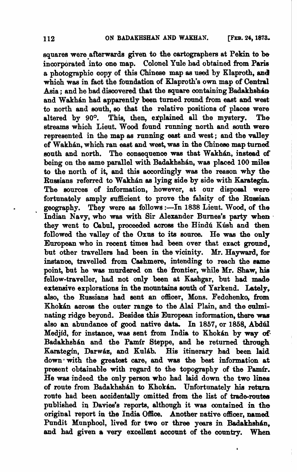squares were afterwards given to the cartographers at Pekin to be incorporated into one map. Colonel Yule had obtained from Paris a photographic oopy of this Chinese map **as** used by Klaproth, and which was in fact the foundation of Klaproth's own map of Central Asia : and he had discovered that the square containing **Badakhshap** and Wakhán had apparently been turned round from east and west to north and south, so that the relative positions of places were<br>altered by  $90^\circ$ . This, then, explained all the mystery. The altered by 90°. This, then, explained all the mystery. streams which Lieut. Wood found running north and south were represented in the map as running east and west; and the valley of Wakhán, which ran east and west, was in the Chinese map turned south and north. The consequence was that Wakhán, instead of being on the same parallel with Badakhshan, was placed 100 miles to the north of it, and this accordingly was the reason why the Russians referred to Wakhan as lying side by side with Karategin. The sources of information, however, at our disposal were fortunately amply sufficient to prove the falsity of the **Rneeian**  geography. They were as follows: -- In 1838 Lieut. Wood, of the Indian Navy, who **was** with Sir Alexander Burnes's party when they went to Cabul, proceeded across the Hindu Kush and then followed the valley of the **Oxns** to ita souroe. He was the only European who in recent times had been over that exact **ground,**  but other travellers had been in the vicinity. Mr. Hayward, for instance, travelled from Ceahrnere, intending to reach the **eame**  point, but he was murdered on the frontier, while Mr. Shaw, his fellow-traveller, had not only been at Kashgar, but had made extensive explorations in the mountains south of Yarkend. Lately. **also,** the Russians had eent an officer, Mona. Fedchenko, from Khokán across the outer range to the Alai Plain, and the culminating ridge beyond. Beeidea **this** European information, **there wae**  also an abundance of good native data. In 1857, or 1858, Abdúl Medjid, for instance, was sent from India to Khokán by way Badakhshán and the Pamír Steppe, and he returned through Karategin, Darwáz, and Kuláb. His itinerary had been down with the greatest care, and was the best information *r* of<br>ugh<br>laid<br>n at present obtainable with regard to the topography of the Pamir. He **waa** indeed the only person who had laid down the two **linee**  of route from Badakhshan to Khokan. Unfortunately his return route had been accidentally omitted from the list of trade-routes published in Davies's reports, although it was contained in the original report in the India **Office.** Another native officer, named Pundit Munphool, lived for two or three years in Badakhshán, and had given a very excellent account of the country. When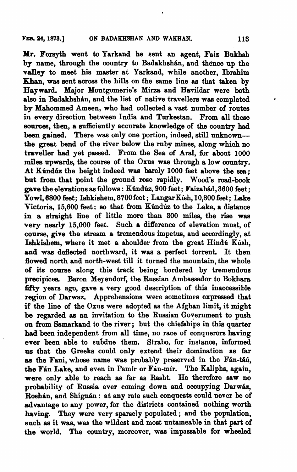Mr. Forsyth went to Yarkand he sent an agent, Faiz Bnkheh by name, through the country to Badakhshan, and thence up the valley to meet **his** master at Yarkand, while another, **Ibrahim**  Khan, **waa** sent acnose the hills on the same line as that taken by Hayward. Major Montgomerie's Mirza and Havildar were both also in Badakhshan, and the list of native travellers was completed by Mahommed Ameen, who had collected a vast number of routes in every direction between India and Turkestan. From all these **eources,** then, a sufficiently acourate knowledge of the county had been gained. There was only one portion, indeed, still unknownthe great bend of the river below the ruby mines, along which no traveller had yet passed. From the Sea of Aral, for about 1000 **miles** upwards, the couree of the Oxus was through a low country. At Kunduz the height indeed was barely 1000 feet above the sea: but from that point the ground rose rapidly. Wood's road-book gave the elevations as follows: Kunduz, 900 feet; Faizabad, 3600 feet; Yowl, 6800 feet; Ishkishem, 8700 feet; Langar Kish, 10,800 feet; Lake Victoria, 15,600 feet: so that from Kunduz to the Lake, a distance in a straight line of little more than 300 miles, the rise was very nearly 15,000 feet. Such a difference of elevation must, of course, give the stream a tremendous impetus, and accordingly, at Ishkishem, where it met a shoulder from the great Hindú Kúsh. and was deflected northward, it was a perfect torrent. It then flowed north and north-west till it turned the mountain, the whole of its come along this track being bordered by tremendous precipices. Baron Meyendorf, the Russian Ambassador to Bokhara Gfty **yeam** ago, gave a very good description of **this** inacoessible region of Darwaz. Apprehensions were sometimes expressed that if the line of the Oxus were adopted as the Afghan limit, it might be regarded as an invitation to the Russian Government to push on from Samarkand to the river; but the chiefships in this quartar had been independent from all time, no race of conquerors having ever been able to subdue them. Stralw, for instance, informed us that the Greeks could only extend their domination as far as the Fani, whose name was probably preserved in the Fan-tau, the Fan Lake, and even in Pamir or Fan-mir. The Kaliphs, again, were only able to reach as far as Rasht. He therefore saw no probability of Russia ever coming down and occupying Darwáz. Roshán, and Shignán : at any rate such conquests could never be of advantage to any power, for the districts contained nothing worth having. They were very sparsely populated; and the population, such as it was, was the wildest and most untameable in that part of the world. **The** country, moreover, **was** impassable for wheeled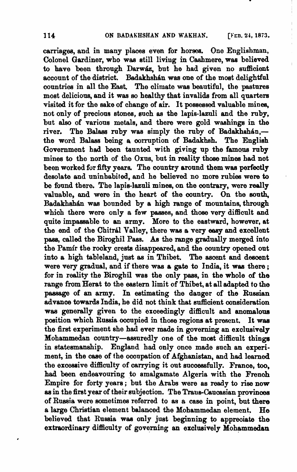carriages, and in many places even for horsea. One Englishman, Colonel Gardiner, who was still liviug in Cashmere, was believed to have been through Darwaz, but he had given no sufficient account of the district. Badakhshan was one of the most delightful countries in all the Eaat. The climate was beautiful, the pastures most delicious, and it was so healthy that invalids from all quarters visited it for the sake of change of air. It possessed valuable minea, not only of precious stones, such as the lapis-lazuli and the ruby, but also of various metals, and there were gold washings in the river. The Balass ruby was simply the ruby of Badakhahán,the word Balass being a corruption of Badakhsh. The English Government had been taunted with giving up the famoue ruby minee to the north of the Oxus, but in reality those **mines** had not been worked for fifty years. The country around them was perfectly desolate and uninhabited. and he believed no more rubies were to be found there. The lapis-lazuli mines, on the contrary, were really valuable, and were in the heart of the countrg. On the south, Radakhshan was bounded by a high range of mountains, through which there were only a few passes, and those very difficult and quite impassable to an army. More to the eastward, however, at the end of the Chitral Valley, there was a very easy and excellent pass, called the Biroghil Pass. As the range gradually merged into the Pamir the rocky crests disappeared, and the oountry opened out into a high tableland, just as in Thibet. The ascent and descent were very gradual, and if there was a gate to India, it was there; for in reality the Biroghil was the only pass, in the whole of **the**  range from Herat to the eastern limit of Thibet, at all adapted to the passage of an army. In estimating the danger of the Russian advance towards India, he did not think that sufficient consideration was generally given to the exceedingly difficult and anomalous position which Russia occupied in those regions at present. It was the **first** experiment she had ever **made** in governing an exclnaively Mohammedan country-assuredly one of the most difficult things in statesmanship. England had only once made such an experiment, in the cage of the occupation of Afghanistan, and had learned the excessive difficulty of carrying it out successfully. France, too, had **been** endeavouring to amalgamate Algeria with the Frenoh Empire for forty years; but the Arabs were as ready to rise now as in the first year of their subjection. The Traus-Caucasian provinoes of Russia were sometimes referred to as a case in point, but there a large Christian element balanced the Xobammedan element. He believed that Russia wee only just beginning to appreoiate the extraordinary difficulty of governing an exclusively Mohammedan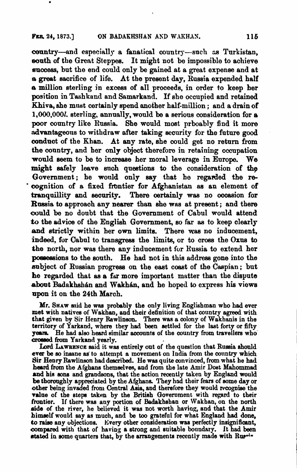country-and especially a fanatical country-such as Turkistan, south of the Great Steppea. It might not be impossible to achieve **access,** but the end could only be gained at a great expense and at a great sacrifice of life. At the present day, Russia expended half a million sterling in excess of all proceeds, in order to keep her position in Tashkand and Samarkand. If she occupied and retained **Eva,** she must certainly **spend** another half-million ; and a drain of **1,000,0001.** sterling, annually, would be a serious consideration for 8 poor country like Russia. She would most probably find it more advantageous to withdraw after taking security for the future good condnot of the Khan. At any mte, she could get no return from the country, and her only object therefore in retaining occupation would seem to be to increase her moral leverage in Europe. We **might** eafely leave **snch** questions to the consideration of **thg**  Government; he would only **ssy** that he regarded the re- ' cognition of a fixed frbntier for Afghanistan as an element of tranquillity and security. There certainly was no oooaaion for Russia to approach any nearer than she was at present; and there could be no doubt that the Government of Cabul would attend **to** the advice of the English Government, so far as to keep clearly **and** etrictly within her own limits. There **was** no inducement, indeed, for Cabul to transgress the limits, or to cross the Oxus to the north, nor was there any inducement for Russia to extend her possessions to the south. He had not in this address gone into the subject of Russian progrese on the east coast of the Caapian; but he regarded that **aa a** far more important matter than the dispute about Badakhshan and Wakhan, and he hoped to express his views **upon** it on the 24th March.

Mr. SHAW said he was probably the only living Englishman who had ever met with natives of Wakhan, and their definition of that country agreed with that given by Sir Henry Rawlinson. There was a colony of Wskhanis in the territory of Yarkand, where they had been settled for the last forty or fifty met with natives<br>that given by Si<br>territory of Yark<br>years. He had a<br>crossed from Yar<br>Lord LAWREN years. He had also heard similar accounts of the country from travellers who crossed from Yarkand yearly.

**from Jarkand LAWENCE said it was entirely out of the question that Russia should ever be so insane as to attempt a movement on India from the country which** Sir Henry Rawlinson had described. He was quite convinced, from what he had heard from the Afghans themselves, and from the late Amir Dost Mahommad and his sons and grandsons, that the action recently taken by England would be thoroughly appreciated by the Afghans. They had their fears of some day or other being invaded from Central Asia, and therefore they would recognise the value of the steps taken by the British Government with regard to their frontier. If there was any portion of Badakhshan or Wakhan, on the north side of the river, he believed it was not worth having, and that the Amir himself would say as much, and be **too** grateful for what England had done, to raise any objections. Every other consideration was perfectly insignificant, compared with that of having a strong and suitable boundary. It had been stated in some quarters that, by the arrangements recently made with Russia